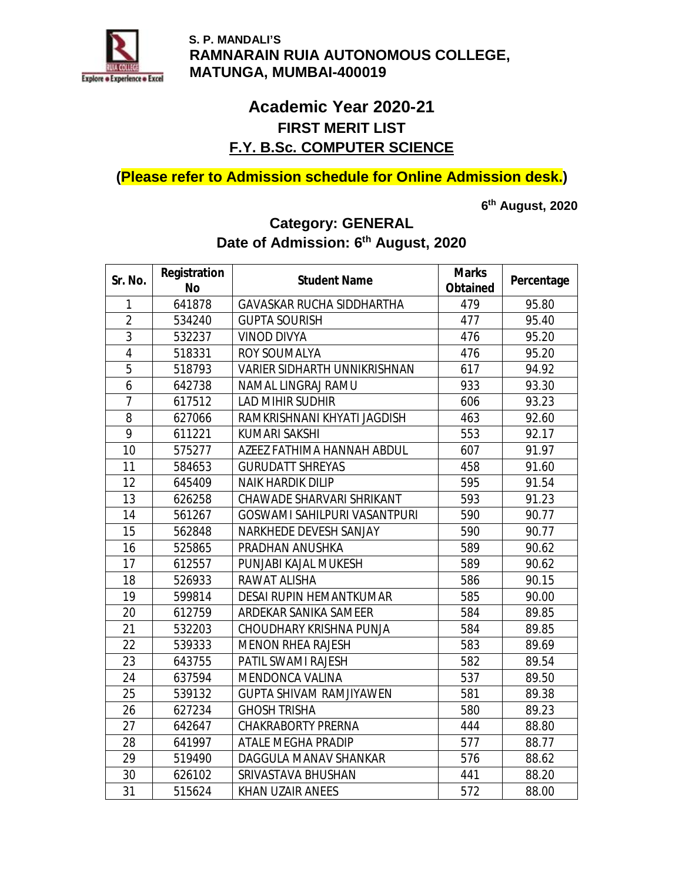

## **Academic Year 2020-21 FIRST MERIT LIST F.Y. B.Sc. COMPUTER SCIENCE**

**(Please refer to Admission schedule for Online Admission desk.)** 

**6 th August, 2020** 

# **Category: GENERAL Date of Admission: 6th August, 2020**

| Sr. No.                 | Registration | <b>Student Name</b>                 | <b>Marks</b> | Percentage |
|-------------------------|--------------|-------------------------------------|--------------|------------|
|                         | <b>No</b>    |                                     | Obtained     |            |
| 1                       | 641878       | <b>GAVASKAR RUCHA SIDDHARTHA</b>    | 479          | 95.80      |
| $\overline{2}$          | 534240       | <b>GUPTA SOURISH</b>                | 477          | 95.40      |
| 3                       | 532237       | <b>VINOD DIVYA</b>                  | 476          | 95.20      |
| $\overline{\mathbf{4}}$ | 518331       | <b>ROY SOUMALYA</b>                 | 476          | 95.20      |
| $\overline{5}$          | 518793       | <b>VARIER SIDHARTH UNNIKRISHNAN</b> | 617          | 94.92      |
| 6                       | 642738       | <b>NAMAL LINGRAJ RAMU</b>           | 933          | 93.30      |
| 7                       | 617512       | <b>LAD MIHIR SUDHIR</b>             | 606          | 93.23      |
| 8                       | 627066       | RAMKRISHNANI KHYATI JAGDISH         | 463          | 92.60      |
| 9                       | 611221       | <b>KUMARI SAKSHI</b>                | 553          | 92.17      |
| 10                      | 575277       | AZEEZ FATHIMA HANNAH ABDUL          | 607          | 91.97      |
| 11                      | 584653       | <b>GURUDATT SHREYAS</b>             | 458          | 91.60      |
| 12                      | 645409       | <b>NAIK HARDIK DILIP</b>            | 595          | 91.54      |
| 13                      | 626258       | <b>CHAWADE SHARVARI SHRIKANT</b>    | 593          | 91.23      |
| 14                      | 561267       | <b>GOSWAMI SAHILPURI VASANTPURI</b> | 590          | 90.77      |
| 15                      | 562848       | NARKHEDE DEVESH SANJAY              | 590          | 90.77      |
| 16                      | 525865       | PRADHAN ANUSHKA                     | 589          | 90.62      |
| 17                      | 612557       | PUNJABI KAJAL MUKESH                | 589          | 90.62      |
| 18                      | 526933       | <b>RAWAT ALISHA</b>                 | 586          | 90.15      |
| 19                      | 599814       | <b>DESAI RUPIN HEMANTKUMAR</b>      | 585          | 90.00      |
| 20                      | 612759       | ARDEKAR SANIKA SAMEER               | 584          | 89.85      |
| 21                      | 532203       | <b>CHOUDHARY KRISHNA PUNJA</b>      | 584          | 89.85      |
| 22                      | 539333       | <b>MENON RHEA RAJESH</b>            | 583          | 89.69      |
| 23                      | 643755       | PATIL SWAMI RAJESH                  | 582          | 89.54      |
| 24                      | 637594       | <b>MENDONCA VALINA</b>              | 537          | 89.50      |
| 25                      | 539132       | <b>GUPTA SHIVAM RAMJIYAWEN</b>      | 581          | 89.38      |
| 26                      | 627234       | <b>GHOSH TRISHA</b>                 | 580          | 89.23      |
| 27                      | 642647       | <b>CHAKRABORTY PRERNA</b>           | 444          | 88.80      |
| 28                      | 641997       | <b>ATALE MEGHA PRADIP</b>           | 577          | 88.77      |
| 29                      | 519490       | <b>DAGGULA MANAV SHANKAR</b>        | 576          | 88.62      |
| 30                      | 626102       | SRIVASTAVA BHUSHAN                  | 441          | 88.20      |
| 31                      | 515624       | <b>KHAN UZAIR ANEES</b>             | 572          | 88.00      |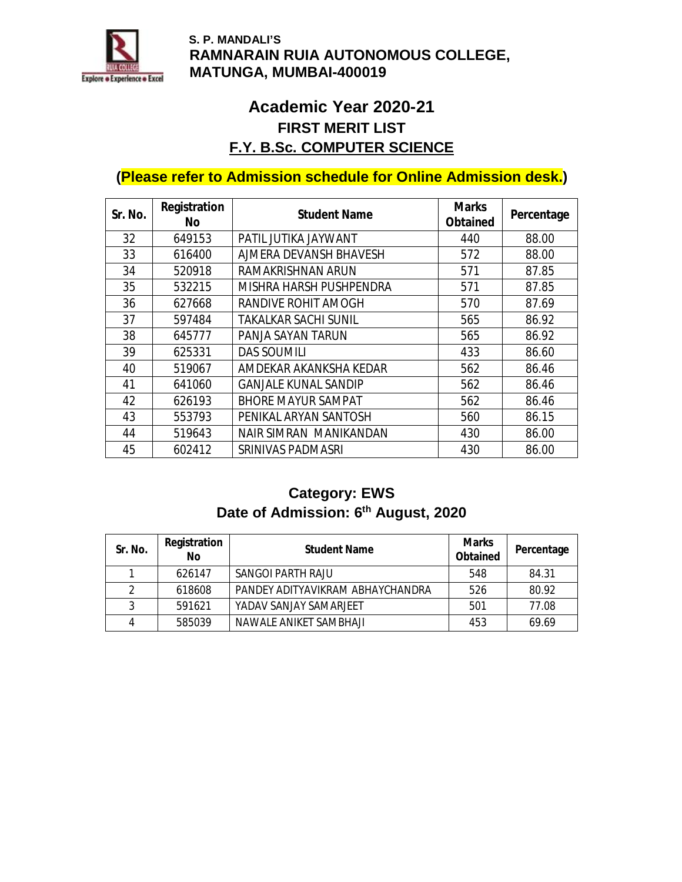

## **Academic Year 2020-21 FIRST MERIT LIST F.Y. B.Sc. COMPUTER SCIENCE**

## **(Please refer to Admission schedule for Online Admission desk.)**

| Sr. No. | Registration<br>No. | <b>Student Name</b>         | <b>Marks</b><br>Obtained | Percentage |
|---------|---------------------|-----------------------------|--------------------------|------------|
| 32      | 649153              | PATIL JUTIKA JAYWANT        | 440                      | 88.00      |
| 33      | 616400              | AJMERA DEVANSH BHAVESH      | 572                      | 88.00      |
| 34      | 520918              | <b>RAMAKRISHNAN ARUN</b>    | 571                      | 87.85      |
| 35      | 532215              | MISHRA HARSH PUSHPENDRA     | 571                      | 87.85      |
| 36      | 627668              | <b>RANDIVE ROHIT AMOGH</b>  | 570                      | 87.69      |
| 37      | 597484              | <b>TAKALKAR SACHI SUNIL</b> | 565                      | 86.92      |
| 38      | 645777              | PANJA SAYAN TARUN           | 565                      | 86.92      |
| 39      | 625331              | <b>DAS SOUMILI</b>          | 433                      | 86.60      |
| 40      | 519067              | AMDEKAR AKANKSHA KEDAR      | 562                      | 86.46      |
| 41      | 641060              | <b>GANJALE KUNAL SANDIP</b> | 562                      | 86.46      |
| 42      | 626193              | <b>BHORE MAYUR SAMPAT</b>   | 562                      | 86.46      |
| 43      | 553793              | PENIKAL ARYAN SANTOSH       | 560                      | 86.15      |
| 44      | 519643              | NAIR SIMRAN MANIKANDAN      | 430                      | 86.00      |
| 45      | 602412              | <b>SRINIVAS PADMASRI</b>    | 430                      | 86.00      |

## **Category: EWS Date of Admission: 6th August, 2020**

| Sr. No. | Registration<br>No | <b>Student Name</b>              | <b>Marks</b><br>Obtained | Percentage |
|---------|--------------------|----------------------------------|--------------------------|------------|
|         | 626147             | <b>SANGOI PARTH RAJU</b>         | 548                      | 84.31      |
| 2       | 618608             | PANDEY ADITYAVIKRAM ABHAYCHANDRA | 526                      | 80.92      |
| 3       | 591621             | YADAV SANJAY SAMARJEET           | 501                      | 77.08      |
| 4       | 585039             | NAWAI F ANIKFT SAMBHAJI          | 453                      | 69.69      |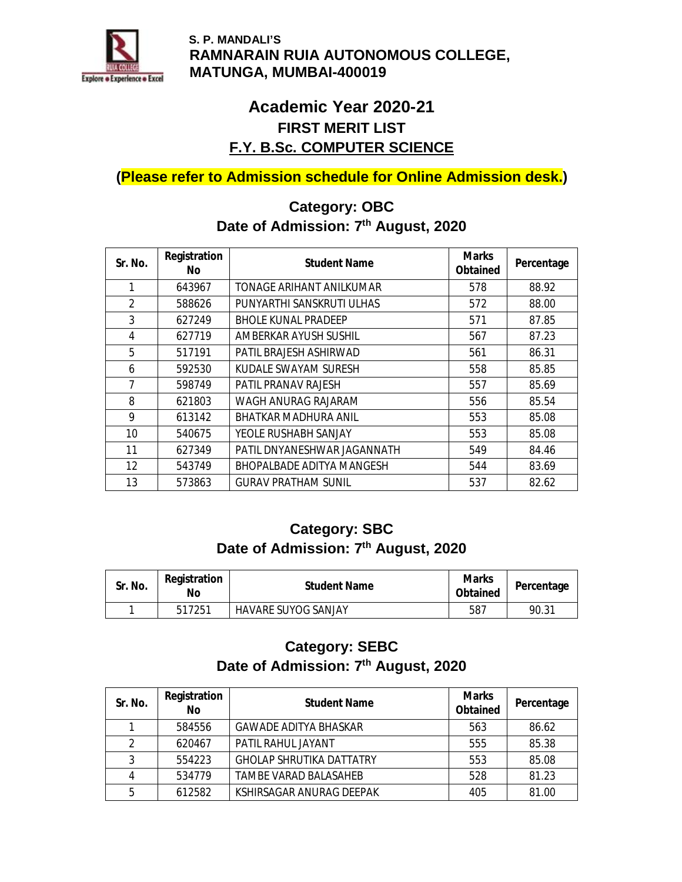

## **Academic Year 2020-21 FIRST MERIT LIST F.Y. B.Sc. COMPUTER SCIENCE**

**(Please refer to Admission schedule for Online Admission desk.)** 

### **Category: OBC Date of Admission: 7th August, 2020**

| Sr. No.           | Registration<br>No. | <b>Student Name</b>              | <b>Marks</b><br>Obtained | Percentage |
|-------------------|---------------------|----------------------------------|--------------------------|------------|
| 1                 | 643967              | TONAGE ARIHANT ANILKUMAR         | 578                      | 88.92      |
| $\mathfrak{p}$    | 588626              | PUNYARTHI SANSKRUTI ULHAS        | 572                      | 88.00      |
| 3                 | 627249              | <b>BHOLE KUNAL PRADEEP</b>       | 571                      | 87.85      |
| 4                 | 627719              | AMBERKAR AYUSH SUSHIL            | 567                      | 87.23      |
| 5                 | 517191              | PATIL BRAJESH ASHIRWAD           | 561                      | 86.31      |
| 6                 | 592530              | KUDALE SWAYAM SURESH             | 558                      | 85.85      |
| 7                 | 598749              | <b>PATIL PRANAV RAJESH</b>       | 557                      | 85.69      |
| 8                 | 621803              | WAGH ANURAG RAJARAM              | 556                      | 85.54      |
| 9                 | 613142              | <b>BHATKAR MADHURA ANIL</b>      | 553                      | 85.08      |
| 10                | 540675              | YEOLE RUSHABH SANJAY             | 553                      | 85.08      |
| 11                | 627349              | PATIL DNYANESHWAR JAGANNATH      | 549                      | 84.46      |
| $12 \overline{ }$ | 543749              | <b>BHOPALBADE ADITYA MANGESH</b> | 544                      | 83.69      |
| 13                | 573863              | <b>GURAV PRATHAM SUNIL</b>       | 537                      | 82.62      |

### **Category: SBC Date of Admission: 7th August, 2020**

| Sr. No. | Registration<br>No | <b>Student Name</b>        | <b>Marks</b><br>Obtained | Percentage |
|---------|--------------------|----------------------------|--------------------------|------------|
|         | 517251             | <b>HAVARE SUYOG SANJAY</b> | 587                      | 90.31      |

### **Category: SEBC Date of Admission: 7th August, 2020**

| Sr. No.        | Registration<br>No | <b>Student Name</b>             | <b>Marks</b><br>Obtained | Percentage |
|----------------|--------------------|---------------------------------|--------------------------|------------|
|                | 584556             | <b>GAWADE ADITYA BHASKAR</b>    | 563                      | 86.62      |
| $\mathfrak{p}$ | 620467             | PATIL RAHUL JAYANT              | 555                      | 85.38      |
| 3              | 554223             | <b>GHOLAP SHRUTIKA DATTATRY</b> | 553                      | 85.08      |
|                | 534779             | <b>TAMBE VARAD BALASAHEB</b>    | 528                      | 81.23      |
| 5              | 612582             | <b>KSHIRSAGAR ANURAG DEEPAK</b> | 405                      | 81.00      |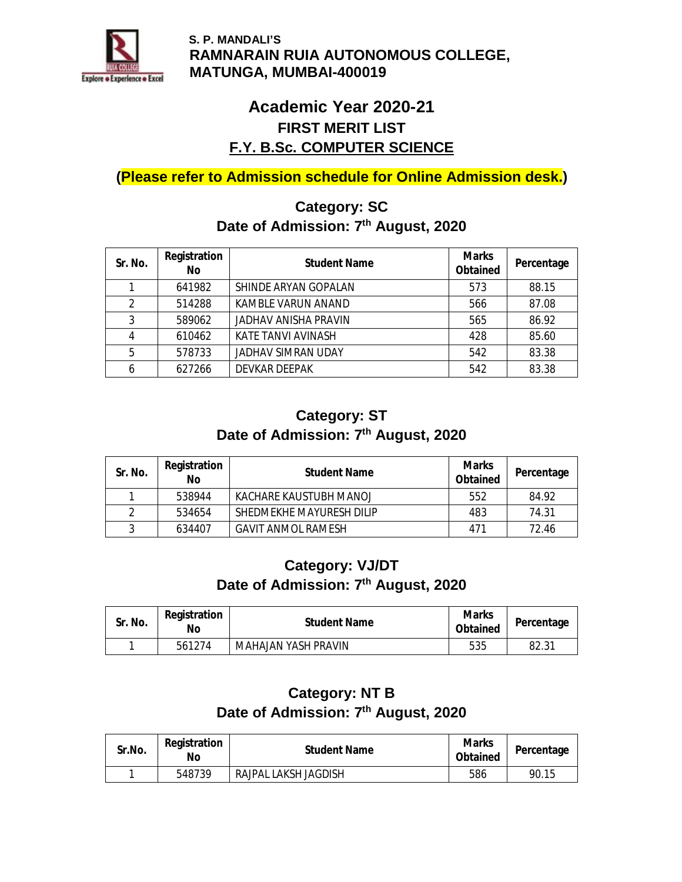

## **Academic Year 2020-21 FIRST MERIT LIST F.Y. B.Sc. COMPUTER SCIENCE**

**(Please refer to Admission schedule for Online Admission desk.)** 

### **Category: SC Date of Admission: 7th August, 2020**

| Sr. No.        | Registration<br>No. | <b>Student Name</b>         | <b>Marks</b><br>Obtained | Percentage |
|----------------|---------------------|-----------------------------|--------------------------|------------|
|                | 641982              | SHINDE ARYAN GOPALAN        | 573                      | 88.15      |
| $\mathfrak{p}$ | 514288              | <b>KAMBLE VARUN ANAND</b>   | 566                      | 87.08      |
| 3              | 589062              | <b>JADHAV ANISHA PRAVIN</b> | 565                      | 86.92      |
| 4              | 610462              | <b>KATE TANVI AVINASH</b>   | 428                      | 85.60      |
| 5              | 578733              | <b>JADHAV SIMRAN UDAY</b>   | 542                      | 83.38      |
| 6              | 627266              | <b>DEVKAR DEEPAK</b>        | 542                      | 83.38      |

#### **Category: ST Date of Admission: 7th August, 2020**

| Sr. No. | Registration<br>No | <b>Student Name</b>      | Marks<br>Obtained | Percentage |
|---------|--------------------|--------------------------|-------------------|------------|
|         | 538944             | KACHARE KAUSTUBH MANOJ   | 552               | 84.92      |
|         | 534654             | SHEDMEKHE MAYURESH DILIP | 483               | 74.31      |
| 3       | 634407             | GAVIT ANMOL RAMESH       | 471               | 72.46      |

### **Category: VJ/DT Date of Admission: 7th August, 2020**

| Sr. No. | Registration<br>No | <b>Student Name</b> | Marks<br>Obtained | Percentage |
|---------|--------------------|---------------------|-------------------|------------|
|         | 561274             | MAHAJAN YASH PRAVIN | 535               | 82.31      |

### **Category: NT B Date of Admission: 7th August, 2020**

| Sr.No. | Registration<br>Nο | <b>Student Name</b>  | <b>Marks</b><br>Obtained | Percentage |
|--------|--------------------|----------------------|--------------------------|------------|
|        | 548739             | RAJPAL LAKSH JAGDISH | 586                      | 90.15      |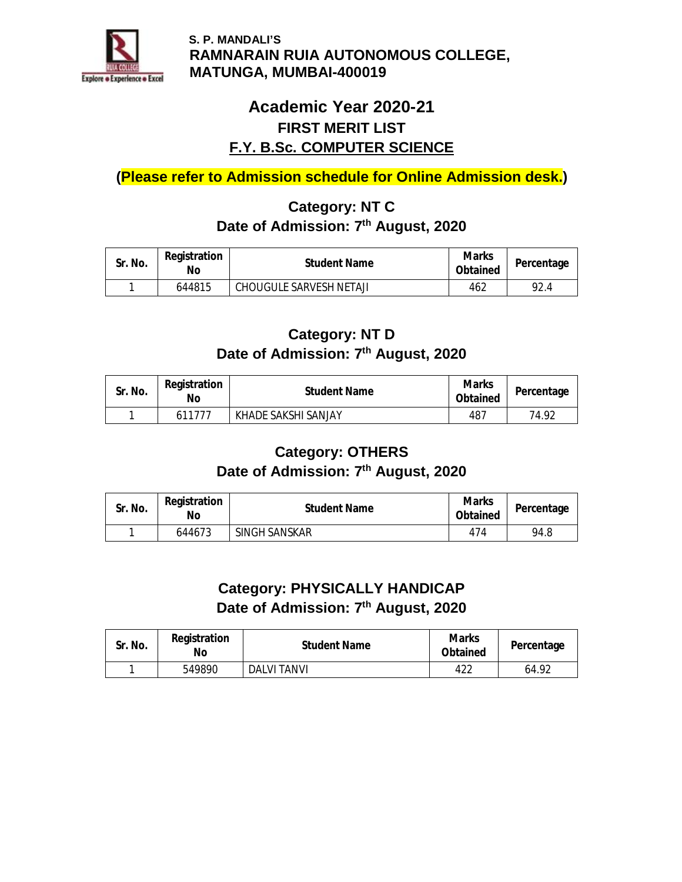

## **Academic Year 2020-21 FIRST MERIT LIST F.Y. B.Sc. COMPUTER SCIENCE**

**(Please refer to Admission schedule for Online Admission desk.)** 

## **Category: NT C Date of Admission: 7th August, 2020**

| Sr. No. | Registration<br>No | <b>Student Name</b>            | Marks<br>Obtained | Percentage |
|---------|--------------------|--------------------------------|-------------------|------------|
|         | 644815             | <b>CHOUGULE SARVESH NETAJI</b> | 462               | 92.4       |

### **Category: NT D Date of Admission: 7th August, 2020**

| Sr. No. | Registration<br>No | <b>Student Name</b> | <b>Marks</b><br>Obtained | Percentage |
|---------|--------------------|---------------------|--------------------------|------------|
|         | 611777             | KHADE SAKSHI SANJAY | 487                      | 74.92      |

### **Category: OTHERS Date of Admission: 7th August, 2020**

| Sr. No. | Registration<br>No | <b>Student Name</b> | <b>Marks</b><br>Obtained | Percentage |
|---------|--------------------|---------------------|--------------------------|------------|
|         | 644673             | SINGH SANSKAR       | 474                      | 94.8       |

#### **Category: PHYSICALLY HANDICAP Date of Admission: 7th August, 2020**

| Sr. No. | Registration<br>No | <b>Student Name</b> | Marks<br>Obtained | Percentage |
|---------|--------------------|---------------------|-------------------|------------|
|         | 549890             | DALVI TANVI         | 422               | 64.92      |